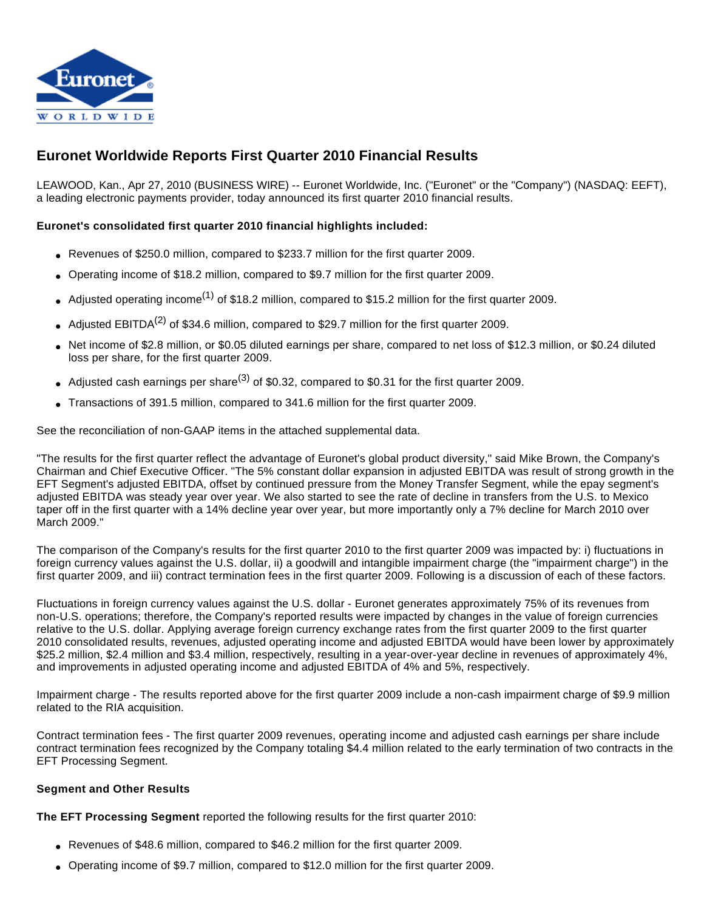

# **Euronet Worldwide Reports First Quarter 2010 Financial Results**

LEAWOOD, Kan., Apr 27, 2010 (BUSINESS WIRE) -- Euronet Worldwide, Inc. ("Euronet" or the "Company") (NASDAQ: EEFT), a leading electronic payments provider, today announced its first quarter 2010 financial results.

## **Euronet's consolidated first quarter 2010 financial highlights included:**

- Revenues of \$250.0 million, compared to \$233.7 million for the first quarter 2009.
- Operating income of \$18.2 million, compared to \$9.7 million for the first quarter 2009.
- Adjusted operating income<sup>(1)</sup> of \$18.2 million, compared to \$15.2 million for the first quarter 2009.
- Adjusted EBITDA<sup>(2)</sup> of \$34.6 million, compared to \$29.7 million for the first quarter 2009.
- Net income of \$2.8 million, or \$0.05 diluted earnings per share, compared to net loss of \$12.3 million, or \$0.24 diluted loss per share, for the first quarter 2009.
- Adjusted cash earnings per share<sup>(3)</sup> of \$0.32, compared to \$0.31 for the first quarter 2009.
- Transactions of 391.5 million, compared to 341.6 million for the first quarter 2009.

See the reconciliation of non-GAAP items in the attached supplemental data.

"The results for the first quarter reflect the advantage of Euronet's global product diversity," said Mike Brown, the Company's Chairman and Chief Executive Officer. "The 5% constant dollar expansion in adjusted EBITDA was result of strong growth in the EFT Segment's adjusted EBITDA, offset by continued pressure from the Money Transfer Segment, while the epay segment's adjusted EBITDA was steady year over year. We also started to see the rate of decline in transfers from the U.S. to Mexico taper off in the first quarter with a 14% decline year over year, but more importantly only a 7% decline for March 2010 over March 2009."

The comparison of the Company's results for the first quarter 2010 to the first quarter 2009 was impacted by: i) fluctuations in foreign currency values against the U.S. dollar, ii) a goodwill and intangible impairment charge (the "impairment charge") in the first quarter 2009, and iii) contract termination fees in the first quarter 2009. Following is a discussion of each of these factors.

Fluctuations in foreign currency values against the U.S. dollar - Euronet generates approximately 75% of its revenues from non-U.S. operations; therefore, the Company's reported results were impacted by changes in the value of foreign currencies relative to the U.S. dollar. Applying average foreign currency exchange rates from the first quarter 2009 to the first quarter 2010 consolidated results, revenues, adjusted operating income and adjusted EBITDA would have been lower by approximately \$25.2 million, \$2.4 million and \$3.4 million, respectively, resulting in a year-over-year decline in revenues of approximately 4%, and improvements in adjusted operating income and adjusted EBITDA of 4% and 5%, respectively.

Impairment charge - The results reported above for the first quarter 2009 include a non-cash impairment charge of \$9.9 million related to the RIA acquisition.

Contract termination fees - The first quarter 2009 revenues, operating income and adjusted cash earnings per share include contract termination fees recognized by the Company totaling \$4.4 million related to the early termination of two contracts in the EFT Processing Segment.

### **Segment and Other Results**

**The EFT Processing Segment** reported the following results for the first quarter 2010:

- Revenues of \$48.6 million, compared to \$46.2 million for the first quarter 2009.
- Operating income of \$9.7 million, compared to \$12.0 million for the first quarter 2009.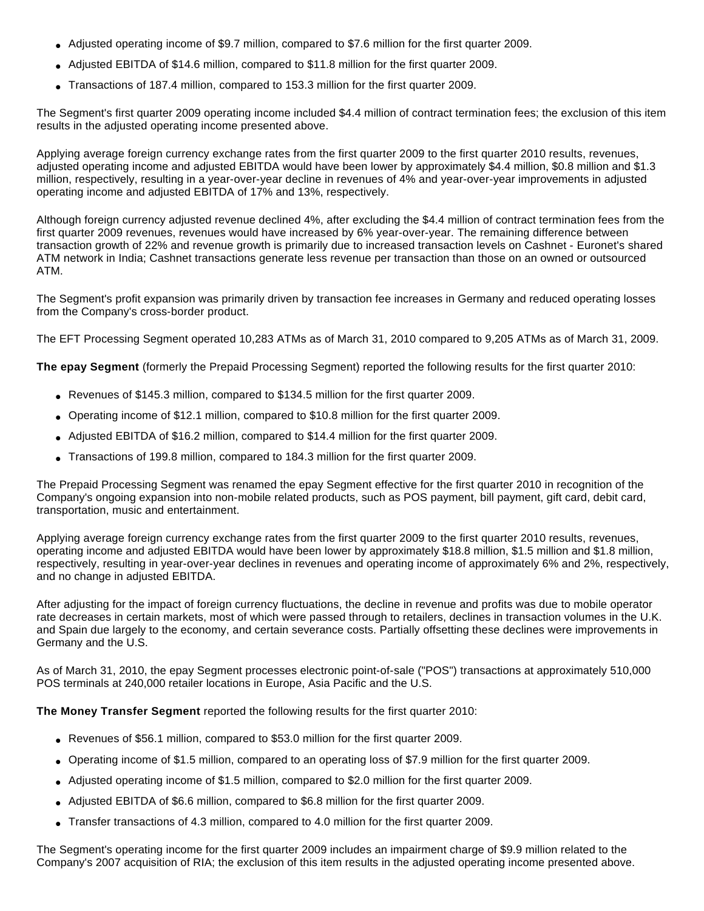- Adjusted operating income of \$9.7 million, compared to \$7.6 million for the first quarter 2009.
- Adjusted EBITDA of \$14.6 million, compared to \$11.8 million for the first quarter 2009.
- Transactions of 187.4 million, compared to 153.3 million for the first quarter 2009.

The Segment's first quarter 2009 operating income included \$4.4 million of contract termination fees; the exclusion of this item results in the adjusted operating income presented above.

Applying average foreign currency exchange rates from the first quarter 2009 to the first quarter 2010 results, revenues, adjusted operating income and adjusted EBITDA would have been lower by approximately \$4.4 million, \$0.8 million and \$1.3 million, respectively, resulting in a year-over-year decline in revenues of 4% and year-over-year improvements in adjusted operating income and adjusted EBITDA of 17% and 13%, respectively.

Although foreign currency adjusted revenue declined 4%, after excluding the \$4.4 million of contract termination fees from the first quarter 2009 revenues, revenues would have increased by 6% year-over-year. The remaining difference between transaction growth of 22% and revenue growth is primarily due to increased transaction levels on Cashnet - Euronet's shared ATM network in India; Cashnet transactions generate less revenue per transaction than those on an owned or outsourced ATM.

The Segment's profit expansion was primarily driven by transaction fee increases in Germany and reduced operating losses from the Company's cross-border product.

The EFT Processing Segment operated 10,283 ATMs as of March 31, 2010 compared to 9,205 ATMs as of March 31, 2009.

**The epay Segment** (formerly the Prepaid Processing Segment) reported the following results for the first quarter 2010:

- Revenues of \$145.3 million, compared to \$134.5 million for the first quarter 2009.
- Operating income of \$12.1 million, compared to \$10.8 million for the first quarter 2009.
- Adjusted EBITDA of \$16.2 million, compared to \$14.4 million for the first quarter 2009.
- Transactions of 199.8 million, compared to 184.3 million for the first quarter 2009.

The Prepaid Processing Segment was renamed the epay Segment effective for the first quarter 2010 in recognition of the Company's ongoing expansion into non-mobile related products, such as POS payment, bill payment, gift card, debit card, transportation, music and entertainment.

Applying average foreign currency exchange rates from the first quarter 2009 to the first quarter 2010 results, revenues, operating income and adjusted EBITDA would have been lower by approximately \$18.8 million, \$1.5 million and \$1.8 million, respectively, resulting in year-over-year declines in revenues and operating income of approximately 6% and 2%, respectively, and no change in adjusted EBITDA.

After adjusting for the impact of foreign currency fluctuations, the decline in revenue and profits was due to mobile operator rate decreases in certain markets, most of which were passed through to retailers, declines in transaction volumes in the U.K. and Spain due largely to the economy, and certain severance costs. Partially offsetting these declines were improvements in Germany and the U.S.

As of March 31, 2010, the epay Segment processes electronic point-of-sale ("POS") transactions at approximately 510,000 POS terminals at 240,000 retailer locations in Europe, Asia Pacific and the U.S.

**The Money Transfer Segment** reported the following results for the first quarter 2010:

- Revenues of \$56.1 million, compared to \$53.0 million for the first quarter 2009.
- Operating income of \$1.5 million, compared to an operating loss of \$7.9 million for the first quarter 2009.
- Adjusted operating income of \$1.5 million, compared to \$2.0 million for the first quarter 2009.
- Adjusted EBITDA of \$6.6 million, compared to \$6.8 million for the first quarter 2009.
- Transfer transactions of 4.3 million, compared to 4.0 million for the first quarter 2009.

The Segment's operating income for the first quarter 2009 includes an impairment charge of \$9.9 million related to the Company's 2007 acquisition of RIA; the exclusion of this item results in the adjusted operating income presented above.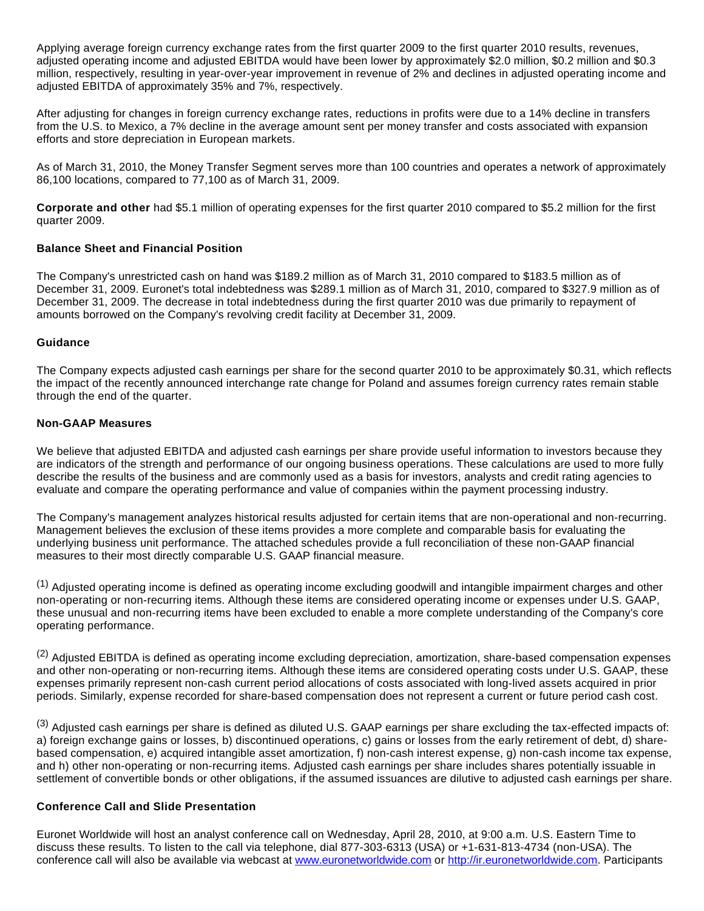Applying average foreign currency exchange rates from the first quarter 2009 to the first quarter 2010 results, revenues, adjusted operating income and adjusted EBITDA would have been lower by approximately \$2.0 million, \$0.2 million and \$0.3 million, respectively, resulting in year-over-year improvement in revenue of 2% and declines in adjusted operating income and adjusted EBITDA of approximately 35% and 7%, respectively.

After adjusting for changes in foreign currency exchange rates, reductions in profits were due to a 14% decline in transfers from the U.S. to Mexico, a 7% decline in the average amount sent per money transfer and costs associated with expansion efforts and store depreciation in European markets.

As of March 31, 2010, the Money Transfer Segment serves more than 100 countries and operates a network of approximately 86,100 locations, compared to 77,100 as of March 31, 2009.

**Corporate and other** had \$5.1 million of operating expenses for the first quarter 2010 compared to \$5.2 million for the first quarter 2009.

#### **Balance Sheet and Financial Position**

The Company's unrestricted cash on hand was \$189.2 million as of March 31, 2010 compared to \$183.5 million as of December 31, 2009. Euronet's total indebtedness was \$289.1 million as of March 31, 2010, compared to \$327.9 million as of December 31, 2009. The decrease in total indebtedness during the first quarter 2010 was due primarily to repayment of amounts borrowed on the Company's revolving credit facility at December 31, 2009.

#### **Guidance**

The Company expects adjusted cash earnings per share for the second quarter 2010 to be approximately \$0.31, which reflects the impact of the recently announced interchange rate change for Poland and assumes foreign currency rates remain stable through the end of the quarter.

#### **Non-GAAP Measures**

We believe that adjusted EBITDA and adjusted cash earnings per share provide useful information to investors because they are indicators of the strength and performance of our ongoing business operations. These calculations are used to more fully describe the results of the business and are commonly used as a basis for investors, analysts and credit rating agencies to evaluate and compare the operating performance and value of companies within the payment processing industry.

The Company's management analyzes historical results adjusted for certain items that are non-operational and non-recurring. Management believes the exclusion of these items provides a more complete and comparable basis for evaluating the underlying business unit performance. The attached schedules provide a full reconciliation of these non-GAAP financial measures to their most directly comparable U.S. GAAP financial measure.

 $<sup>(1)</sup>$  Adjusted operating income is defined as operating income excluding goodwill and intangible impairment charges and other</sup> non-operating or non-recurring items. Although these items are considered operating income or expenses under U.S. GAAP, these unusual and non-recurring items have been excluded to enable a more complete understanding of the Company's core operating performance.

 $(2)$  Adiusted EBITDA is defined as operating income excluding depreciation, amortization, share-based compensation expenses and other non-operating or non-recurring items. Although these items are considered operating costs under U.S. GAAP, these expenses primarily represent non-cash current period allocations of costs associated with long-lived assets acquired in prior periods. Similarly, expense recorded for share-based compensation does not represent a current or future period cash cost.

(3) Adjusted cash earnings per share is defined as diluted U.S. GAAP earnings per share excluding the tax-effected impacts of: a) foreign exchange gains or losses, b) discontinued operations, c) gains or losses from the early retirement of debt, d) sharebased compensation, e) acquired intangible asset amortization, f) non-cash interest expense, g) non-cash income tax expense, and h) other non-operating or non-recurring items. Adjusted cash earnings per share includes shares potentially issuable in settlement of convertible bonds or other obligations, if the assumed issuances are dilutive to adjusted cash earnings per share.

### **Conference Call and Slide Presentation**

Euronet Worldwide will host an analyst conference call on Wednesday, April 28, 2010, at 9:00 a.m. U.S. Eastern Time to discuss these results. To listen to the call via telephone, dial 877-303-6313 (USA) or +1-631-813-4734 (non-USA). The conference call will also be available via webcast at [www.euronetworldwide.com](http://cts.businesswire.com/ct/CT?id=smartlink&url=http%3A%2F%2Fwww.euronetworldwide.com&esheet=6267572&lan=en_US&anchor=www.euronetworldwide.com&index=1&md5=12f9db8c8c8882fedb3cf67fba56071f) or [http://ir.euronetworldwide.com.](http://cts.businesswire.com/ct/CT?id=smartlink&url=http%3A%2F%2Fir.euronetworldwide.com&esheet=6267572&lan=en_US&anchor=http%3A%2F%2Fir.euronetworldwide.com&index=2&md5=934ab39a87deff8583c0e881dfea3e4b) Participants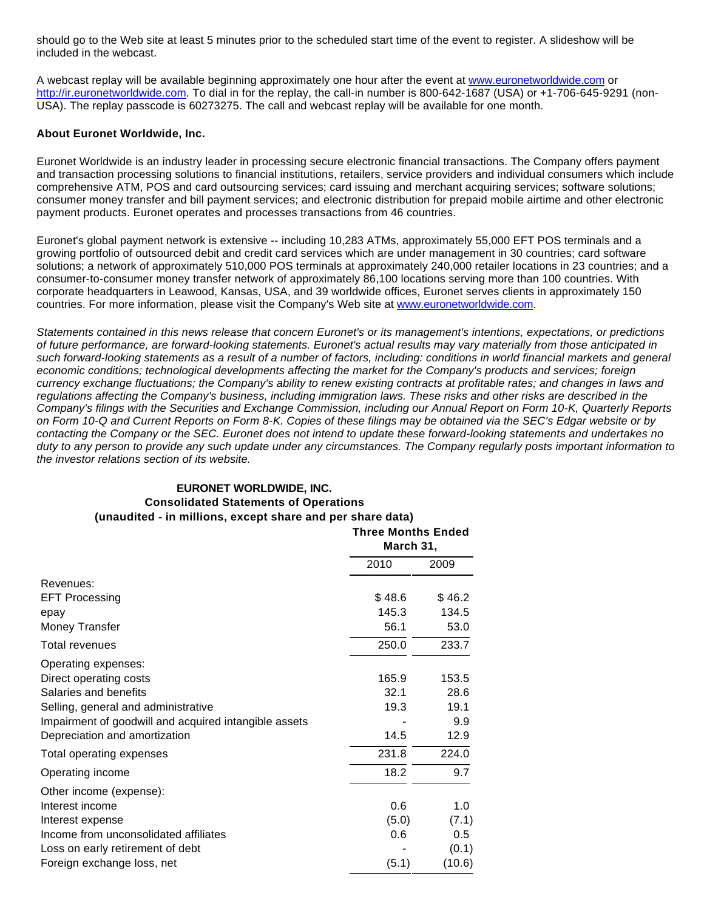should go to the Web site at least 5 minutes prior to the scheduled start time of the event to register. A slideshow will be included in the webcast.

A webcast replay will be available beginning approximately one hour after the event at [www.euronetworldwide.com](http://cts.businesswire.com/ct/CT?id=smartlink&url=http%3A%2F%2Fwww.euronetworldwide.com&esheet=6267572&lan=en_US&anchor=www.euronetworldwide.com&index=3&md5=0db807aa641f21677c3244723723740f) or [http://ir.euronetworldwide.com](http://cts.businesswire.com/ct/CT?id=smartlink&url=http%3A%2F%2Fir.euronetworldwide.com&esheet=6267572&lan=en_US&anchor=http%3A%2F%2Fir.euronetworldwide.com&index=4&md5=8a24db7d0621648109cc49cd7428ff92). To dial in for the replay, the call-in number is 800-642-1687 (USA) or +1-706-645-9291 (non-USA). The replay passcode is 60273275. The call and webcast replay will be available for one month.

#### **About Euronet Worldwide, Inc.**

Euronet Worldwide is an industry leader in processing secure electronic financial transactions. The Company offers payment and transaction processing solutions to financial institutions, retailers, service providers and individual consumers which include comprehensive ATM, POS and card outsourcing services; card issuing and merchant acquiring services; software solutions; consumer money transfer and bill payment services; and electronic distribution for prepaid mobile airtime and other electronic payment products. Euronet operates and processes transactions from 46 countries.

Euronet's global payment network is extensive -- including 10,283 ATMs, approximately 55,000 EFT POS terminals and a growing portfolio of outsourced debit and credit card services which are under management in 30 countries; card software solutions; a network of approximately 510,000 POS terminals at approximately 240,000 retailer locations in 23 countries; and a consumer-to-consumer money transfer network of approximately 86,100 locations serving more than 100 countries. With corporate headquarters in Leawood, Kansas, USA, and 39 worldwide offices, Euronet serves clients in approximately 150 countries. For more information, please visit the Company's Web site at [www.euronetworldwide.com.](http://cts.businesswire.com/ct/CT?id=smartlink&url=http%3A%2F%2Fwww.euronetworldwide.com%2F&esheet=6267572&lan=en_US&anchor=www.euronetworldwide.com&index=5&md5=711ed47dd0a5b31a03f15372e0c26ce9)

Statements contained in this news release that concern Euronet's or its management's intentions, expectations, or predictions of future performance, are forward-looking statements. Euronet's actual results may vary materially from those anticipated in such forward-looking statements as a result of a number of factors, including: conditions in world financial markets and general economic conditions; technological developments affecting the market for the Company's products and services; foreign currency exchange fluctuations; the Company's ability to renew existing contracts at profitable rates; and changes in laws and regulations affecting the Company's business, including immigration laws. These risks and other risks are described in the Company's filings with the Securities and Exchange Commission, including our Annual Report on Form 10-K, Quarterly Reports on Form 10-Q and Current Reports on Form 8-K. Copies of these filings may be obtained via the SEC's Edgar website or by contacting the Company or the SEC. Euronet does not intend to update these forward-looking statements and undertakes no duty to any person to provide any such update under any circumstances. The Company regularly posts important information to the investor relations section of its website.

#### **EURONET WORLDWIDE, INC.**

## **Consolidated Statements of Operations (unaudited - in millions, except share and per share data)**

|                                                       | <b>Three Months Ended</b><br>March 31, |        |
|-------------------------------------------------------|----------------------------------------|--------|
|                                                       | 2010                                   | 2009   |
| Revenues:                                             |                                        |        |
| <b>EFT Processing</b>                                 | \$48.6                                 | \$46.2 |
| epay                                                  | 145.3                                  | 134.5  |
| Money Transfer                                        | 56.1                                   | 53.0   |
| Total revenues                                        | 250.0                                  | 233.7  |
| Operating expenses:                                   |                                        |        |
| Direct operating costs                                | 165.9                                  | 153.5  |
| Salaries and benefits                                 | 32.1                                   | 28.6   |
| Selling, general and administrative                   | 19.3                                   | 19.1   |
| Impairment of goodwill and acquired intangible assets |                                        | 9.9    |
| Depreciation and amortization                         | 14.5                                   | 12.9   |
| Total operating expenses                              | 231.8                                  | 224.0  |
| Operating income                                      | 18.2                                   | 9.7    |
| Other income (expense):                               |                                        |        |
| Interest income                                       | 0.6                                    | 1.0    |
| Interest expense                                      | (5.0)                                  | (7.1)  |
| Income from unconsolidated affiliates                 | 0.6                                    | 0.5    |
| Loss on early retirement of debt                      |                                        | (0.1)  |
| Foreign exchange loss, net                            | (5.1)                                  | (10.6) |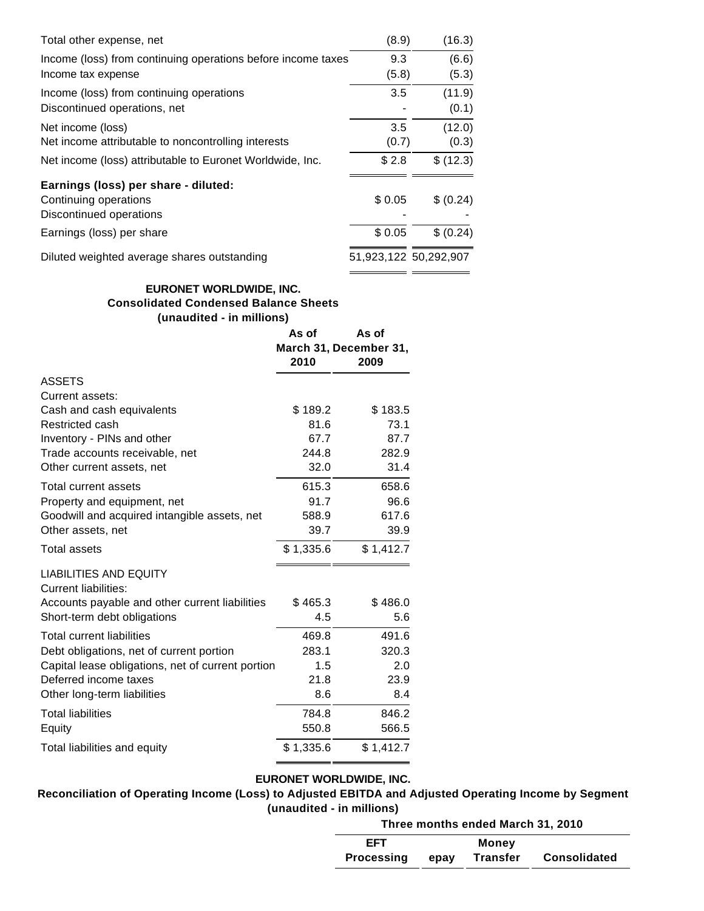| Total other expense, net                                     | (8.9)  | (16.3)                |
|--------------------------------------------------------------|--------|-----------------------|
| Income (loss) from continuing operations before income taxes | 9.3    | (6.6)                 |
| Income tax expense                                           | (5.8)  | (5.3)                 |
| Income (loss) from continuing operations                     | 3.5    | (11.9)                |
| Discontinued operations, net                                 |        | (0.1)                 |
| Net income (loss)                                            | 3.5    | (12.0)                |
| Net income attributable to noncontrolling interests          | (0.7)  | (0.3)                 |
| Net income (loss) attributable to Euronet Worldwide, Inc.    | \$2.8  | \$(12.3)              |
| Earnings (loss) per share - diluted:                         |        |                       |
| Continuing operations                                        | \$0.05 | \$ (0.24)             |
| Discontinued operations                                      |        |                       |
| Earnings (loss) per share                                    | \$0.05 | \$ (0.24)             |
| Diluted weighted average shares outstanding                  |        | 51,923,122 50,292,907 |
|                                                              |        |                       |

## **EURONET WORLDWIDE, INC. Consolidated Condensed Balance Sheets (unaudited - in millions)**

|                                                              | As of<br>2010 | As of<br>March 31, December 31,<br>2009 |
|--------------------------------------------------------------|---------------|-----------------------------------------|
| <b>ASSETS</b>                                                |               |                                         |
| Current assets:                                              |               |                                         |
| Cash and cash equivalents                                    | \$189.2       | \$183.5                                 |
| Restricted cash                                              | 81.6          | 73.1                                    |
| Inventory - PINs and other                                   | 67.7          | 87.7                                    |
| Trade accounts receivable, net                               | 244.8         | 282.9                                   |
| Other current assets, net                                    | 32.0          | 31.4                                    |
| Total current assets                                         | 615.3         | 658.6                                   |
| Property and equipment, net                                  | 91.7          | 96.6                                    |
| Goodwill and acquired intangible assets, net                 | 588.9         | 617.6                                   |
| Other assets, net                                            | 39.7          | 39.9                                    |
| <b>Total assets</b>                                          | \$1,335.6     | \$1,412.7                               |
| <b>LIABILITIES AND EQUITY</b><br><b>Current liabilities:</b> |               |                                         |
| Accounts payable and other current liabilities               | \$465.3       | \$486.0                                 |
| Short-term debt obligations                                  | 4.5           | 5.6                                     |
| <b>Total current liabilities</b>                             | 469.8         | 491.6                                   |
| Debt obligations, net of current portion                     | 283.1         | 320.3                                   |
| Capital lease obligations, net of current portion            | 1.5           | 2.0                                     |
| Deferred income taxes                                        | 21.8          | 23.9                                    |
| Other long-term liabilities                                  | 8.6           | 8.4                                     |
| <b>Total liabilities</b>                                     | 784.8         | 846.2                                   |
| Equity                                                       | 550.8         | 566.5                                   |
| Total liabilities and equity                                 | \$1,335.6     | \$1,412.7                               |

## **EURONET WORLDWIDE, INC.**

**Reconciliation of Operating Income (Loss) to Adjusted EBITDA and Adjusted Operating Income by Segment (unaudited - in millions)**

**Three months ended March 31, 2010 EFT Money Processing epay Transfer Consolidated**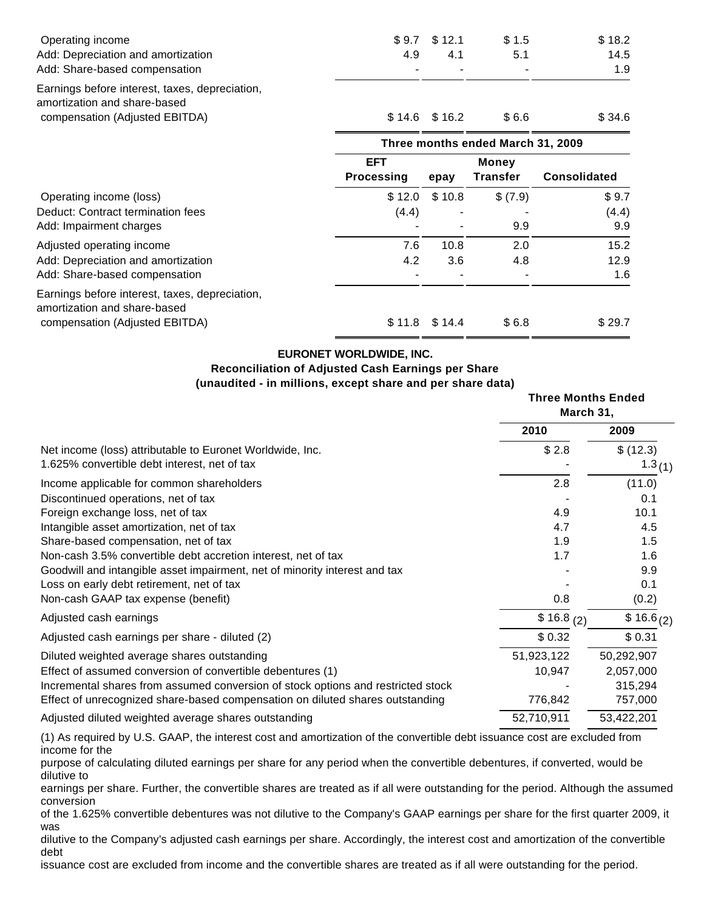|                          |                                 |                                                              | \$18.2                                                                |
|--------------------------|---------------------------------|--------------------------------------------------------------|-----------------------------------------------------------------------|
|                          |                                 |                                                              | 14.5                                                                  |
|                          |                                 |                                                              | 1.9                                                                   |
|                          |                                 |                                                              |                                                                       |
|                          |                                 | \$6.6                                                        | \$34.6                                                                |
|                          |                                 |                                                              |                                                                       |
| <b>EFT</b><br>Processing |                                 | <b>Money</b><br><b>Transfer</b>                              | <b>Consolidated</b>                                                   |
| \$12.0                   |                                 |                                                              | \$9.7                                                                 |
|                          |                                 |                                                              | (4.4)                                                                 |
|                          |                                 | 9.9                                                          | 9.9                                                                   |
| 7.6                      | 10.8                            | 2.0                                                          | 15.2                                                                  |
| 4.2                      | 3.6                             | 4.8                                                          | 12.9                                                                  |
|                          |                                 |                                                              | 1.6                                                                   |
|                          |                                 |                                                              | \$29.7                                                                |
|                          | \$9.7<br>4.9<br>(4.4)<br>\$11.8 | \$12.1<br>4.1<br>$$14.6$ $$16.2$<br>epay<br>\$10.8<br>\$14.4 | \$1.5<br>5.1<br>Three months ended March 31, 2009<br>\$(7.9)<br>\$6.8 |

## **EURONET WORLDWIDE, INC.**

# **Reconciliation of Adjusted Cash Earnings per Share**

## **(unaudited - in millions, except share and per share data)**

|                                                                                          | <b>Three Months Ended</b><br>March 31, |  |
|------------------------------------------------------------------------------------------|----------------------------------------|--|
| 2010                                                                                     | 2009                                   |  |
| \$2.8<br>Net income (loss) attributable to Euronet Worldwide, Inc.                       | \$ (12.3)                              |  |
| 1.625% convertible debt interest, net of tax                                             | 1.3(1)                                 |  |
| 2.8<br>Income applicable for common shareholders                                         | (11.0)                                 |  |
| Discontinued operations, net of tax                                                      | 0.1                                    |  |
| Foreign exchange loss, net of tax<br>4.9                                                 | 10.1                                   |  |
| Intangible asset amortization, net of tax<br>4.7                                         | 4.5                                    |  |
| Share-based compensation, net of tax<br>1.9                                              | 1.5                                    |  |
| Non-cash 3.5% convertible debt accretion interest, net of tax<br>1.7                     | 1.6                                    |  |
| Goodwill and intangible asset impairment, net of minority interest and tax               | 9.9                                    |  |
| Loss on early debt retirement, net of tax                                                | 0.1                                    |  |
| Non-cash GAAP tax expense (benefit)<br>0.8                                               | (0.2)                                  |  |
| Adjusted cash earnings<br>\$16.8 <sub>(2)</sub>                                          | $$16.6_{(2)}$                          |  |
| \$0.32<br>Adjusted cash earnings per share - diluted (2)                                 | \$0.31                                 |  |
| 51,923,122<br>Diluted weighted average shares outstanding                                | 50,292,907                             |  |
| Effect of assumed conversion of convertible debentures (1)<br>10,947                     | 2,057,000                              |  |
| Incremental shares from assumed conversion of stock options and restricted stock         | 315,294                                |  |
| Effect of unrecognized share-based compensation on diluted shares outstanding<br>776,842 | 757,000                                |  |
| 52,710,911<br>Adjusted diluted weighted average shares outstanding                       | 53,422,201                             |  |

(1) As required by U.S. GAAP, the interest cost and amortization of the convertible debt issuance cost are excluded from income for the

purpose of calculating diluted earnings per share for any period when the convertible debentures, if converted, would be dilutive to

earnings per share. Further, the convertible shares are treated as if all were outstanding for the period. Although the assumed conversion

of the 1.625% convertible debentures was not dilutive to the Company's GAAP earnings per share for the first quarter 2009, it was

dilutive to the Company's adjusted cash earnings per share. Accordingly, the interest cost and amortization of the convertible debt

issuance cost are excluded from income and the convertible shares are treated as if all were outstanding for the period.